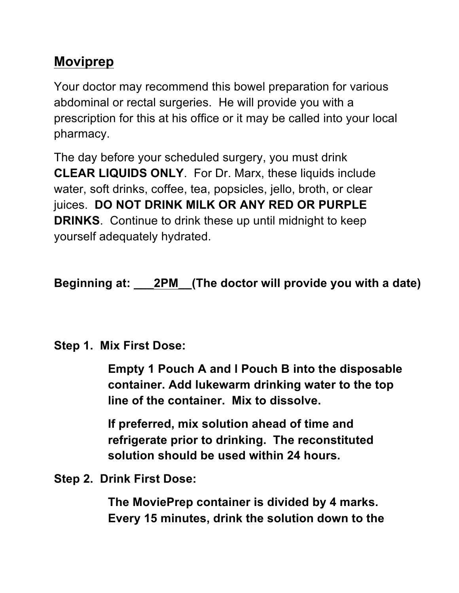## **Moviprep**

Your doctor may recommend this bowel preparation for various abdominal or rectal surgeries. He will provide you with a prescription for this at his office or it may be called into your local pharmacy.

The day before your scheduled surgery, you must drink **CLEAR LIQUIDS ONLY**. For Dr. Marx, these liquids include water, soft drinks, coffee, tea, popsicles, jello, broth, or clear juices. **DO NOT DRINK MILK OR ANY RED OR PURPLE DRINKS**. Continue to drink these up until midnight to keep yourself adequately hydrated.

**Beginning at: \_\_\_2PM\_\_(The doctor will provide you with a date)**

## **Step 1. Mix First Dose:**

**Empty 1 Pouch A and l Pouch B into the disposable container. Add lukewarm drinking water to the top line of the container. Mix to dissolve.**

**If preferred, mix solution ahead of time and refrigerate prior to drinking. The reconstituted solution should be used within 24 hours.**

**Step 2. Drink First Dose:**

**The MoviePrep container is divided by 4 marks. Every 15 minutes, drink the solution down to the**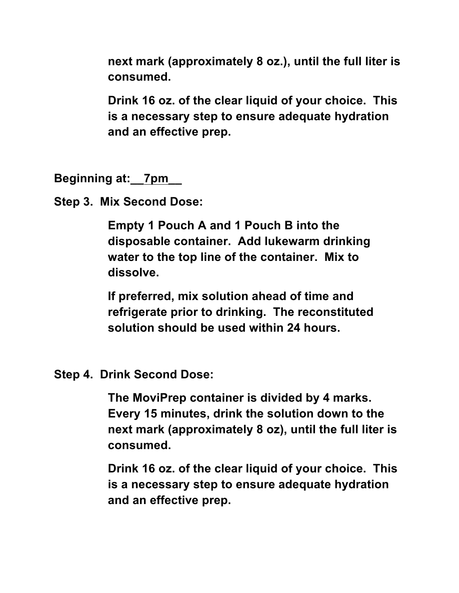**next mark (approximately 8 oz.), until the full liter is consumed.** 

**Drink 16 oz. of the clear liquid of your choice. This is a necessary step to ensure adequate hydration and an effective prep.** 

**Beginning at:\_\_7pm\_\_**

**Step 3. Mix Second Dose:**

**Empty 1 Pouch A and 1 Pouch B into the disposable container. Add lukewarm drinking water to the top line of the container. Mix to dissolve.** 

**If preferred, mix solution ahead of time and refrigerate prior to drinking. The reconstituted solution should be used within 24 hours.**

**Step 4. Drink Second Dose:**

**The MoviPrep container is divided by 4 marks. Every 15 minutes, drink the solution down to the next mark (approximately 8 oz), until the full liter is consumed.**

**Drink 16 oz. of the clear liquid of your choice. This is a necessary step to ensure adequate hydration and an effective prep.**